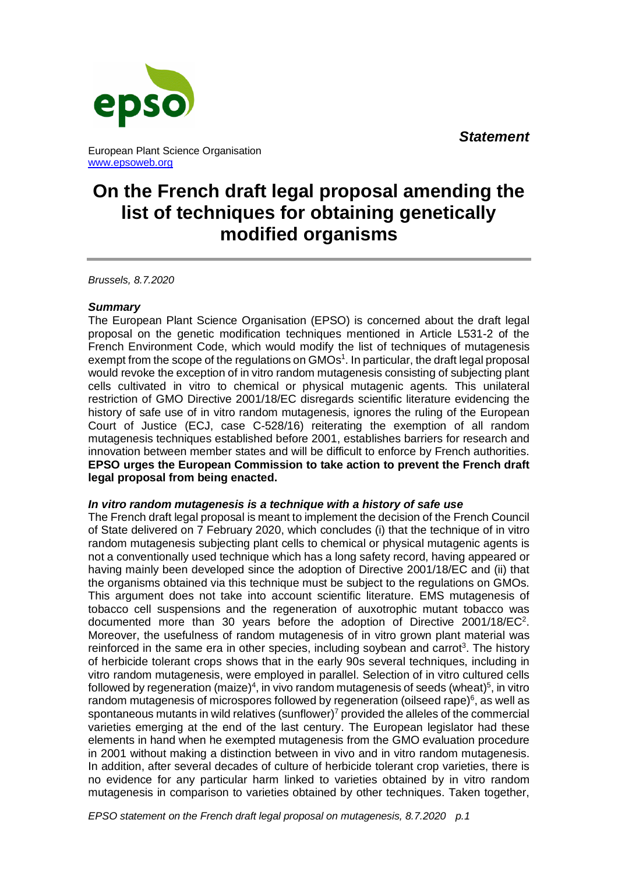*Statement*



European Plant Science Organisation [www.epsoweb.org](http://www.epsoweb.org/)

# **On the French draft legal proposal amending the list of techniques for obtaining genetically modified organisms**

*Brussels, 8.7.2020*

# *Summary*

The European Plant Science Organisation (EPSO) is concerned about the draft legal proposal on the genetic modification techniques mentioned in Article L531-2 of the French Environment Code, which would modify the list of techniques of mutagenesis exempt from the scope of the regulations on GMOs<sup>1</sup>. In particular, the draft legal proposal would revoke the exception of in vitro random mutagenesis consisting of subjecting plant cells cultivated in vitro to chemical or physical mutagenic agents. This unilateral restriction of GMO Directive 2001/18/EC disregards scientific literature evidencing the history of safe use of in vitro random mutagenesis, ignores the ruling of the European Court of Justice (ECJ, case C-528/16) reiterating the exemption of all random mutagenesis techniques established before 2001, establishes barriers for research and innovation between member states and will be difficult to enforce by French authorities. **EPSO urges the European Commission to take action to prevent the French draft legal proposal from being enacted.**

# *In vitro random mutagenesis is a technique with a history of safe use*

The French draft legal proposal is meant to implement the decision of the French Council of State delivered on 7 February 2020, which concludes (i) that the technique of in vitro random mutagenesis subjecting plant cells to chemical or physical mutagenic agents is not a conventionally used technique which has a long safety record, having appeared or having mainly been developed since the adoption of Directive 2001/18/EC and (ii) that the organisms obtained via this technique must be subject to the regulations on GMOs. This argument does not take into account scientific literature. EMS mutagenesis of tobacco cell suspensions and the regeneration of auxotrophic mutant tobacco was documented more than 30 years before the adoption of Directive 2001/18/EC<sup>2</sup>. Moreover, the usefulness of random mutagenesis of in vitro grown plant material was reinforced in the same era in other species, including soybean and carrot<sup>3</sup>. The history of herbicide tolerant crops shows that in the early 90s several techniques, including in vitro random mutagenesis, were employed in parallel. Selection of in vitro cultured cells followed by regeneration (maize)<sup>4</sup>, in vivo random mutagenesis of seeds (wheat)<sup>5</sup>, in vitro random mutagenesis of microspores followed by regeneration (oilseed rape) $6$ , as well as spontaneous mutants in wild relatives (sunflower)<sup>7</sup> provided the alleles of the commercial varieties emerging at the end of the last century. The European legislator had these elements in hand when he exempted mutagenesis from the GMO evaluation procedure in 2001 without making a distinction between in vivo and in vitro random mutagenesis. In addition, after several decades of culture of herbicide tolerant crop varieties, there is no evidence for any particular harm linked to varieties obtained by in vitro random mutagenesis in comparison to varieties obtained by other techniques. Taken together,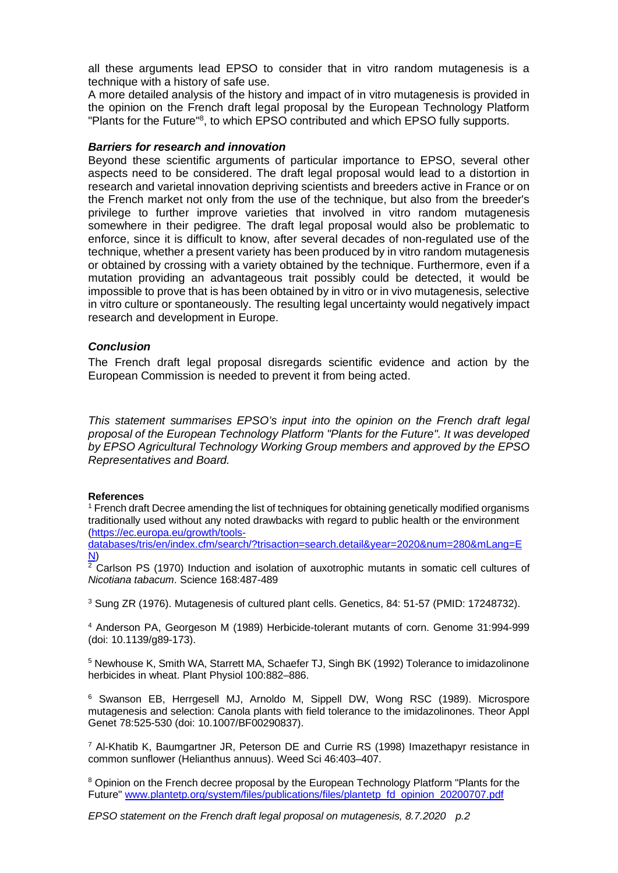all these arguments lead EPSO to consider that in vitro random mutagenesis is a technique with a history of safe use.

A more detailed analysis of the history and impact of in vitro mutagenesis is provided in the opinion on the French draft legal proposal by the European Technology Platform "Plants for the Future"<sup>8</sup>, to which EPSO contributed and which EPSO fully supports.

## *Barriers for research and innovation*

Beyond these scientific arguments of particular importance to EPSO, several other aspects need to be considered. The draft legal proposal would lead to a distortion in research and varietal innovation depriving scientists and breeders active in France or on the French market not only from the use of the technique, but also from the breeder's privilege to further improve varieties that involved in vitro random mutagenesis somewhere in their pedigree. The draft legal proposal would also be problematic to enforce, since it is difficult to know, after several decades of non-regulated use of the technique, whether a present variety has been produced by in vitro random mutagenesis or obtained by crossing with a variety obtained by the technique. Furthermore, even if a mutation providing an advantageous trait possibly could be detected, it would be impossible to prove that is has been obtained by in vitro or in vivo mutagenesis, selective in vitro culture or spontaneously. The resulting legal uncertainty would negatively impact research and development in Europe.

## *Conclusion*

The French draft legal proposal disregards scientific evidence and action by the European Commission is needed to prevent it from being acted.

*This statement summarises EPSO's input into the opinion on the French draft legal proposal of the European Technology Platform "Plants for the Future". It was developed by EPSO Agricultural Technology Working Group members and approved by the EPSO Representatives and Board.*

### **References**

<sup>1</sup> French draft Decree amending the list of techniques for obtaining genetically modified organisms traditionally used without any noted drawbacks with regard to public health or the environment [\(https://ec.europa.eu/growth/tools-](https://ec.europa.eu/growth/tools-databases/tris/en/index.cfm/search/?trisaction=search.detail&year=2020&num=280&mLang=EN)

[databases/tris/en/index.cfm/search/?trisaction=search.detail&year=2020&num=280&mLang=E](https://ec.europa.eu/growth/tools-databases/tris/en/index.cfm/search/?trisaction=search.detail&year=2020&num=280&mLang=EN) [N\)](https://ec.europa.eu/growth/tools-databases/tris/en/index.cfm/search/?trisaction=search.detail&year=2020&num=280&mLang=EN)

<sup>2</sup> Carlson PS (1970) Induction and isolation of auxotrophic mutants in somatic cell cultures of *Nicotiana tabacum*. Science 168:487-489

<sup>3</sup> Sung ZR (1976). Mutagenesis of cultured plant cells. Genetics, 84: 51-57 (PMID: 17248732).

<sup>4</sup> Anderson PA, Georgeson M (1989) Herbicide-tolerant mutants of corn. Genome 31:994-999 (doi: 10.1139/g89-173).

<sup>5</sup> Newhouse K, Smith WA, Starrett MA, Schaefer TJ, Singh BK (1992) Tolerance to imidazolinone herbicides in wheat. Plant Physiol 100:882–886.

<sup>6</sup> Swanson EB, Herrgesell MJ, Arnoldo M, Sippell DW, Wong RSC (1989). Microspore mutagenesis and selection: Canola plants with field tolerance to the imidazolinones. Theor Appl Genet 78:525-530 (doi: 10.1007/BF00290837).

 $^7$  Al-Khatib K, Baumgartner JR, Peterson DE and Currie RS (1998) Imazethapyr resistance in common sunflower (Helianthus annuus). Weed Sci 46:403–407.

<sup>8</sup> Opinion on the French decree proposal by the European Technology Platform "Plants for the Future" [www.plantetp.org/system/files/publications/files/plantetp\\_fd\\_opinion\\_20200707.pdf](http://www.plantetp.org/system/files/publications/files/plantetp_fd_opinion_20200707.pdf)

*EPSO statement on the French draft legal proposal on mutagenesis, 8.7.2020 p.2*